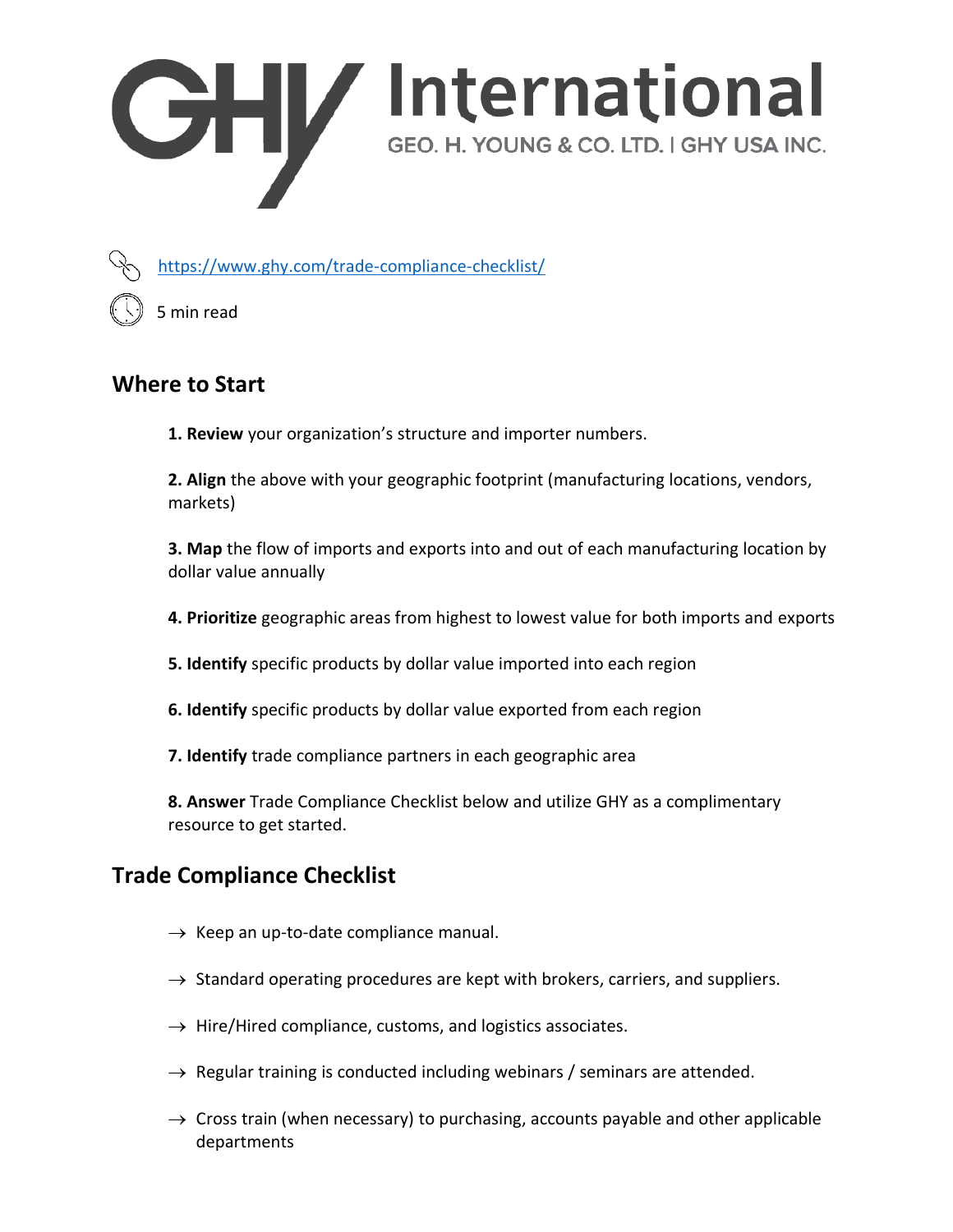



<https://www.ghy.com/trade-compliance-checklist/>

5 min read

## **Where to Start**

**1. Review** your organization's structure and importer numbers.

**2. Align** the above with your geographic footprint (manufacturing locations, vendors, markets)

**3. Map** the flow of imports and exports into and out of each manufacturing location by dollar value annually

**4. Prioritize** geographic areas from highest to lowest value for both imports and exports

**5. Identify** specific products by dollar value imported into each region

**6. Identify** specific products by dollar value exported from each region

**7. Identify** trade compliance partners in each geographic area

**8. Answer** Trade Compliance Checklist below and utilize GHY as a complimentary resource to get started.

# **Trade Compliance Checklist**

- $\rightarrow$  Keep an up-to-date compliance manual.
- $\rightarrow$  Standard operating procedures are kept with brokers, carriers, and suppliers.
- $\rightarrow$  Hire/Hired compliance, customs, and logistics associates.
- $\rightarrow$  Regular training is conducted including webinars / seminars are attended.
- $\rightarrow$  Cross train (when necessary) to purchasing, accounts payable and other applicable departments